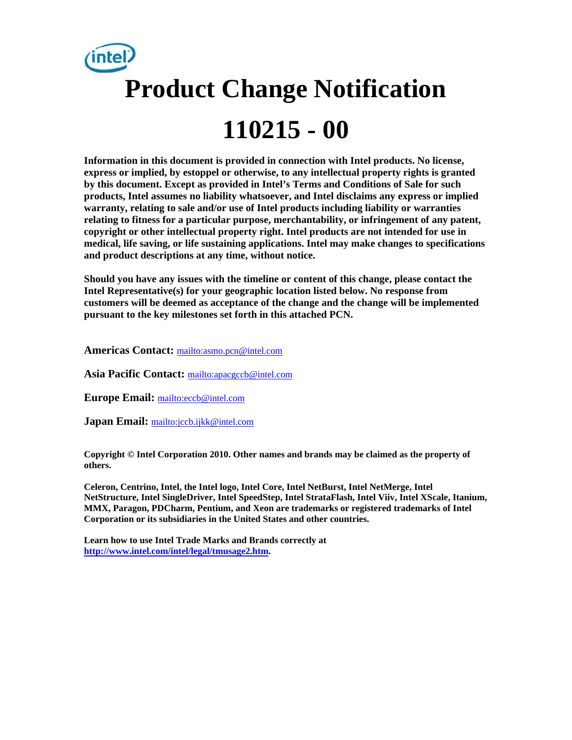

**Information in this document is provided in connection with Intel products. No license, express or implied, by estoppel or otherwise, to any intellectual property rights is granted by this document. Except as provided in Intel's Terms and Conditions of Sale for such products, Intel assumes no liability whatsoever, and Intel disclaims any express or implied warranty, relating to sale and/or use of Intel products including liability or warranties relating to fitness for a particular purpose, merchantability, or infringement of any patent, copyright or other intellectual property right. Intel products are not intended for use in medical, life saving, or life sustaining applications. Intel may make changes to specifications and product descriptions at any time, without notice.** 

**Should you have any issues with the timeline or content of this change, please contact the Intel Representative(s) for your geographic location listed below. No response from customers will be deemed as acceptance of the change and the change will be implemented pursuant to the key milestones set forth in this attached PCN.** 

**Americas Contact:** mailto:asmo.pcn@intel.com

**Asia Pacific Contact:** mailto:apacgccb@intel.com

**Europe Email:** mailto:eccb@intel.com

**Japan Email:** mailto:jccb.ijkk@intel.com

**Copyright © Intel Corporation 2010. Other names and brands may be claimed as the property of others.**

**Celeron, Centrino, Intel, the Intel logo, Intel Core, Intel NetBurst, Intel NetMerge, Intel NetStructure, Intel SingleDriver, Intel SpeedStep, Intel StrataFlash, Intel Viiv, Intel XScale, Itanium, MMX, Paragon, PDCharm, Pentium, and Xeon are trademarks or registered trademarks of Intel Corporation or its subsidiaries in the United States and other countries.** 

**Learn how to use Intel Trade Marks and Brands correctly at http://www.intel.com/intel/legal/tmusage2.htm.**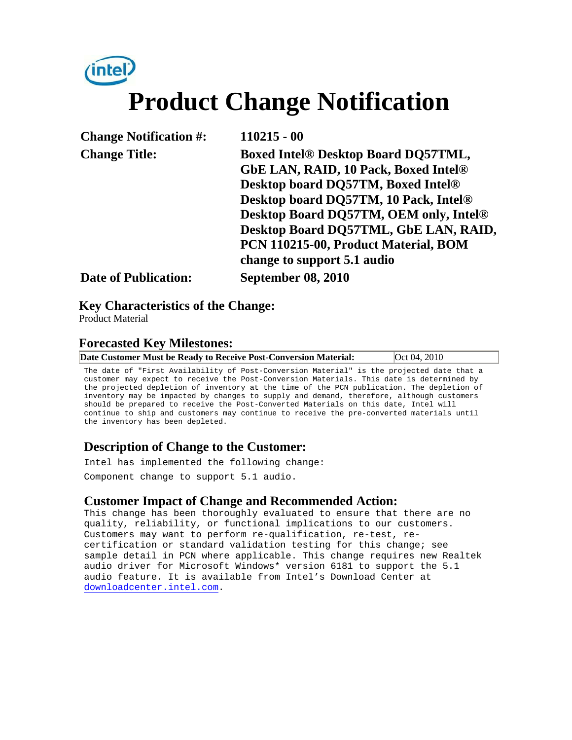# (intel) **Product Change Notification**

| <b>Change Notification #:</b> | $110215 - 00$                               |
|-------------------------------|---------------------------------------------|
| <b>Change Title:</b>          | <b>Boxed Intel® Desktop Board DQ57TML,</b>  |
|                               | <b>GbE LAN, RAID, 10 Pack, Boxed Intel®</b> |
|                               | Desktop board DQ57TM, Boxed Intel®          |
|                               | Desktop board DQ57TM, 10 Pack, Intel®       |
|                               | Desktop Board DQ57TM, OEM only, Intel®      |
|                               | Desktop Board DQ57TML, GbE LAN, RAID,       |
|                               | PCN 110215-00, Product Material, BOM        |
|                               | change to support 5.1 audio                 |
| <b>Date of Publication:</b>   | <b>September 08, 2010</b>                   |

#### **Key Characteristics of the Change:**

Product Material

#### **Forecasted Key Milestones:**

|--|

The date of "First Availability of Post-Conversion Material" is the projected date that a customer may expect to receive the Post-Conversion Materials. This date is determined by the projected depletion of inventory at the time of the PCN publication. The depletion of inventory may be impacted by changes to supply and demand, therefore, although customers should be prepared to receive the Post-Converted Materials on this date, Intel will continue to ship and customers may continue to receive the pre-converted materials until the inventory has been depleted.

#### **Description of Change to the Customer:**

Intel has implemented the following change:

Component change to support 5.1 audio.

#### **Customer Impact of Change and Recommended Action:**

This change has been thoroughly evaluated to ensure that there are no quality, reliability, or functional implications to our customers. Customers may want to perform re-qualification, re-test, recertification or standard validation testing for this change; see sample detail in PCN where applicable. This change requires new Realtek audio driver for Microsoft Windows\* version 6181 to support the 5.1 audio feature. It is available from Intel's Download Center at downloadcenter.intel.com.